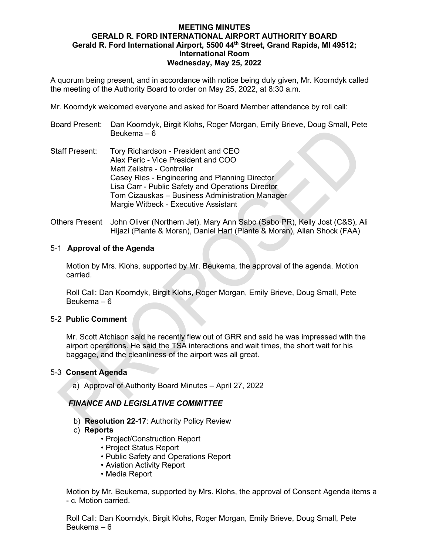## **MEETING MINUTES GERALD R. FORD INTERNATIONAL AIRPORT AUTHORITY BOARD Gerald R. Ford International Airport, 5500 44th Street, Grand Rapids, MI 49512; International Room Wednesday, May 25, 2022**

A quorum being present, and in accordance with notice being duly given, Mr. Koorndyk called the meeting of the Authority Board to order on May 25, 2022, at 8:30 a.m.

Mr. Koorndyk welcomed everyone and asked for Board Member attendance by roll call:

Board Present: Dan Koorndyk, Birgit Klohs, Roger Morgan, Emily Brieve, Doug Small, Pete Beukema – 6

- Staff Present: Tory Richardson President and CEO Alex Peric - Vice President and COO Matt Zeilstra - Controller Casey Ries - Engineering and Planning Director Lisa Carr - Public Safety and Operations Director Tom Cizauskas – Business Administration Manager Margie Witbeck - Executive Assistant
- Others Present John Oliver (Northern Jet), Mary Ann Sabo (Sabo PR), Kelly Jost (C&S), Ali Hijazi (Plante & Moran), Daniel Hart (Plante & Moran), Allan Shock (FAA)

### 5-1 **Approval of the Agenda**

Motion by Mrs. Klohs, supported by Mr. Beukema, the approval of the agenda. Motion carried.

Roll Call: Dan Koorndyk, Birgit Klohs, Roger Morgan, Emily Brieve, Doug Small, Pete Beukema – 6

### 5-2 **Public Comment**

Mr. Scott Atchison said he recently flew out of GRR and said he was impressed with the airport operations. He said the TSA interactions and wait times, the short wait for his baggage, and the cleanliness of the airport was all great.

### 5-3 **Consent Agenda**

a) Approval of Authority Board Minutes – April 27, 2022

# *FINANCE AND LEGISLATIVE COMMITTEE*

- b) **Resolution 22-17**: Authority Policy Review
- c) **Reports**
	- Project/Construction Report
	- Project Status Report
	- Public Safety and Operations Report
	- Aviation Activity Report
	- Media Report

Motion by Mr. Beukema, supported by Mrs. Klohs, the approval of Consent Agenda items a - c. Motion carried.

Roll Call: Dan Koorndyk, Birgit Klohs, Roger Morgan, Emily Brieve, Doug Small, Pete Beukema – 6